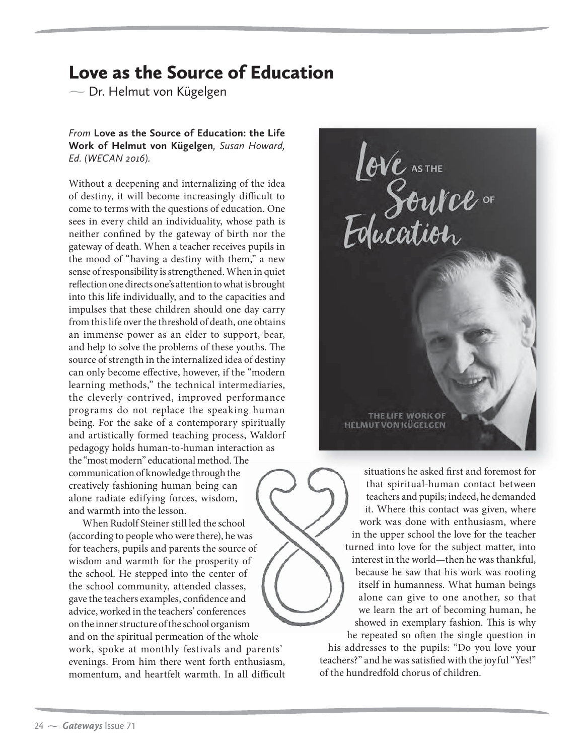## Love as the Source of Education

 $\overline{\phantom{0}}$  $\overline{S}$  by  $\overline{S}$ 

*From* **Love as the Source of Education: the Life Work of Helmut von Kügelgen***, Susan Howard, Ed. (WECAN 2016).*

Without a deepening and internalizing of the idea of destiny, it will become increasingly difficult to come to terms with the questions of education. One sees in every child an individuality, whose path is neither confined by the gateway of birth nor the gateway of death. When a teacher receives pupils in the mood of "having a destiny with them," a new sense of responsibility is strengthened. When in quiet reflection one directs one's attention to what is brought into this life individually, and to the capacities and impulses that these children should one day carry from this life over the threshold of death, one obtains an immense power as an elder to support, bear, and help to solve the problems of these youths. The source of strength in the internalized idea of destiny can only become effective, however, if the "modern learning methods," the technical intermediaries, the cleverly contrived, improved performance programs do not replace the speaking human being. For the sake of a contemporary spiritually and artistically formed teaching process, Waldorf pedagogy holds human-to-human interaction as the "most modern" educational method. The The communication of knowledge through the creatively fashioning human being can alone radiate edifying forces, wisdom, and warmth into the lesson.

When Rudolf Steiner still led the school l (according to people who were there), he was for teachers, pupils and parents the source of wisdom and warmth for the prosperity of the school. He stepped into the center of f the school community, attended classes,<br>gave the teachers examples, confidence and gave the teachers examples, confidence and advice, worked in the teachers' conferences on the inner structure of the school organism m and on the spiritual permeation of the whole work, spoke at monthly festivals and parents' evenings. From him there went forth enthusiasm, momentum, and heartfelt warmth. In all difficult





his addresses to the pupils: "Do you love your teachers?" and he was satisfied with the joyful "Yes!" of the hundredfold chorus of children.